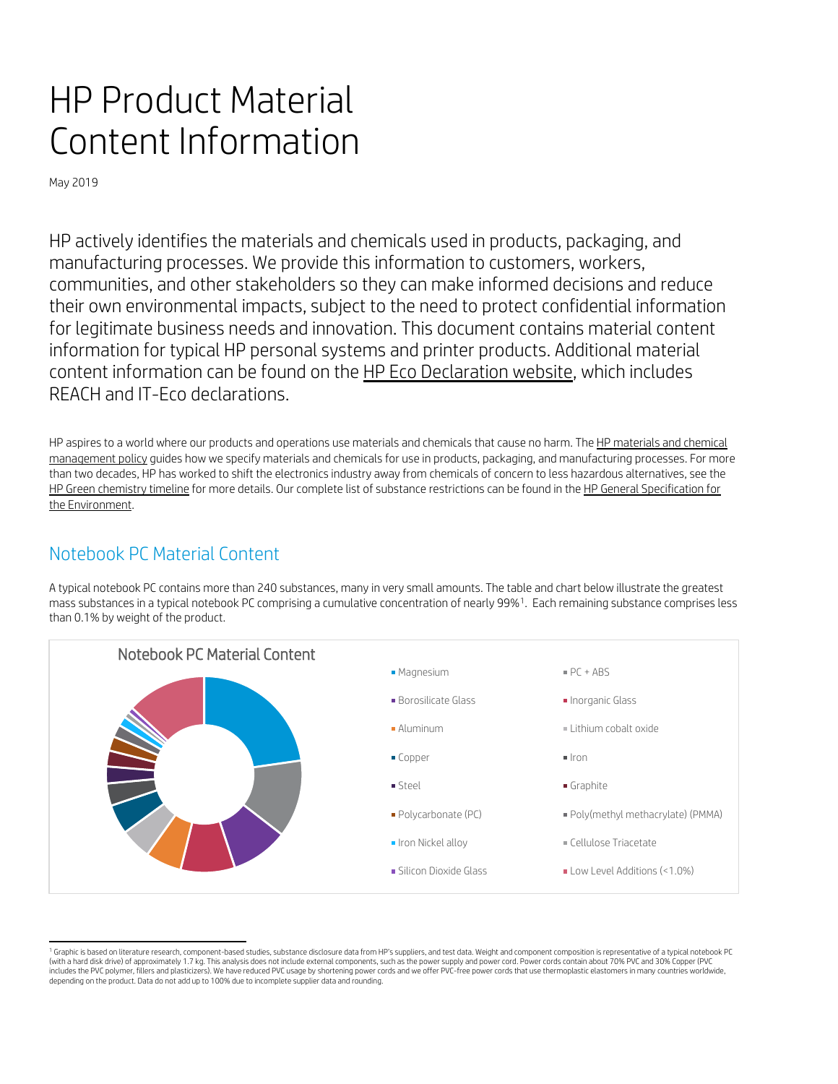# HP Product Material Content Information

May 2019

HP actively identifies the materials and chemicals used in products, packaging, and manufacturing processes. We provide this information to customers, workers, communities, and other stakeholders so they can make informed decisions and reduce their own environmental impacts, subject to the need to protect confidential information for legitimate business needs and innovation. This document contains material content information for typical HP personal systems and printer products. Additional material content information can be found on the [HP Eco Declaration website,](http://www8.hp.com/us/en/hp-information/environment/msds-specs-more.html) which includes REACH and IT-Eco declarations.

HP aspires to a world where our products and operations use materials and chemicals that cause no harm. The HP materials and chemical [management policy](http://h20195.www2.hp.com/V2/getpdf.aspx/c05354207.pdf) guides how we specify materials and chemicals for use in products, packaging, and manufacturing processes. For more than two decades, HP has worked to shift the electronics industry away from chemicals of concern to less hazardous alternatives, see the [HP Green chemistry timeline](http://h20195.www2.hp.com/V2/GetDocument.aspx?docname=c06048911) for more details. Our complete list of substance restrictions can be found in the HP General Specification for [the Environment.](http://www8.hp.com/us/en/hp-information/global-citizenship/society/general-specification-for-the-environment.html)

## Notebook PC Material Content

A typical notebook PC contains more than 240 substances, many in very small amounts. The table and chart below illustrate the greatest mass substances in a typical notebook PC comprising a cumulative concentration of nearly 99%[1](#page-0-0). Each remaining substance comprises less than 0.1% by weight of the product.



<span id="page-0-0"></span><sup>&</sup>lt;sup>1</sup> Graphic is based on literature research, component-based studies, substance disclosure data from HP's suppliers, and test data. Weight and component composition is representative of a typical notebook PC (with a hard disk drive) of approximately 1.7 kg. This analysis does not include external components, such as the power supply and power cord. Power cords contain about 70% PVC and 30% Copper (PVC includes the PVC polymer, fillers and plasticizers). We have reduced PVC usage by shortening power cords and we offer PVC-free power cords that use thermoplastic elastomers in many countries worldwide, depending on the product. Data do not add up to 100% due to incomplete supplier data and rounding.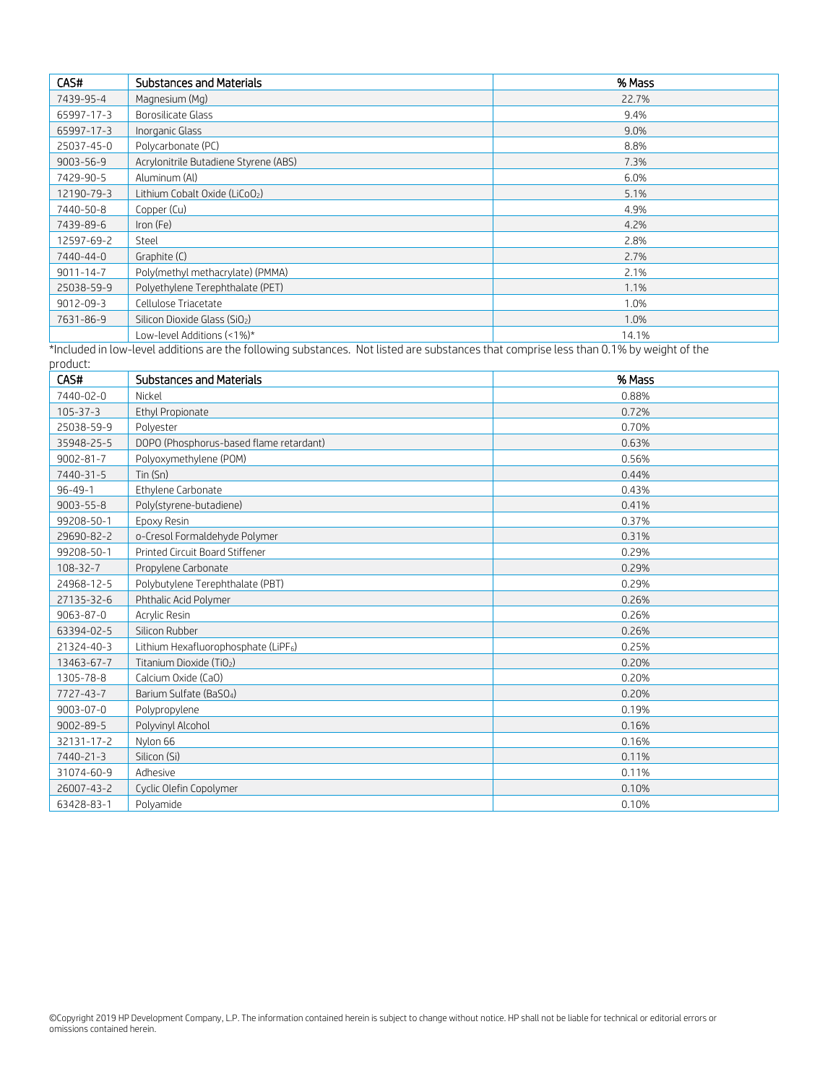| CAS#            | <b>Substances and Materials</b>       | % Mass |
|-----------------|---------------------------------------|--------|
| 7439-95-4       | Magnesium (Mg)                        | 22.7%  |
| 65997-17-3      | Borosilicate Glass                    | 9.4%   |
| 65997-17-3      | Inorganic Glass                       | 9.0%   |
| 25037-45-0      | Polycarbonate (PC)                    | 8.8%   |
| $9003 - 56 - 9$ | Acrylonitrile Butadiene Styrene (ABS) | 7.3%   |
| 7429-90-5       | Aluminum (Al)                         | 6.0%   |
| 12190-79-3      | Lithium Cobalt Oxide (LiCoO2)         | 5.1%   |
| 7440-50-8       | Copper (Cu)                           | 4.9%   |
| 7439-89-6       | Iron (Fe)                             | 4.2%   |
| 12597-69-2      | Steel                                 | 2.8%   |
| 7440-44-0       | Graphite (C)                          | 2.7%   |
| $9011 - 14 - 7$ | Poly(methyl methacrylate) (PMMA)      | 2.1%   |
| 25038-59-9      | Polyethylene Terephthalate (PET)      | 1.1%   |
| $9012 - 09 - 3$ | Cellulose Triacetate                  | 1.0%   |
| 7631-86-9       | Silicon Dioxide Glass (SiO2)          | 1.0%   |
|                 | Low-level Additions (<1%)*            | 14.1%  |

\*Included in low-level additions are the following substances. Not listed are substances that comprise less than 0.1% by weight of the

| product:        |                                                  |        |
|-----------------|--------------------------------------------------|--------|
| CAS#            | Substances and Materials                         | % Mass |
| 7440-02-0       | Nickel                                           | 0.88%  |
| $105 - 37 - 3$  | Ethyl Propionate                                 | 0.72%  |
| 25038-59-9      | Polyester                                        | 0.70%  |
| 35948-25-5      | DOPO (Phosphorus-based flame retardant)          | 0.63%  |
| $9002 - 81 - 7$ | Polyoxymethylene (POM)                           | 0.56%  |
| 7440-31-5       | Tin (Sn)                                         | 0.44%  |
| $96 - 49 - 1$   | Ethylene Carbonate                               | 0.43%  |
| $9003 - 55 - 8$ | Poly(styrene-butadiene)                          | 0.41%  |
| 99208-50-1      | Epoxy Resin                                      | 0.37%  |
| 29690-82-2      | o-Cresol Formaldehyde Polymer                    | 0.31%  |
| 99208-50-1      | Printed Circuit Board Stiffener                  | 0.29%  |
| $108 - 32 - 7$  | Propylene Carbonate                              | 0.29%  |
| 24968-12-5      | Polybutylene Terephthalate (PBT)                 | 0.29%  |
| 27135-32-6      | Phthalic Acid Polymer                            | 0.26%  |
| $9063 - 87 - 0$ | Acrylic Resin                                    | 0.26%  |
| 63394-02-5      | Silicon Rubber                                   | 0.26%  |
| 21324-40-3      | Lithium Hexafluorophosphate (LiPF <sub>6</sub> ) | 0.25%  |
| 13463-67-7      | Titanium Dioxide (TiO <sub>2</sub> )             | 0.20%  |
| 1305-78-8       | Calcium Oxide (CaO)                              | 0.20%  |
| 7727-43-7       | Barium Sulfate (BaSO <sub>4</sub> )              | 0.20%  |
| $9003 - 07 - 0$ | Polypropylene                                    | 0.19%  |
| $9002 - 89 - 5$ | Polyvinyl Alcohol                                | 0.16%  |
| 32131-17-2      | Nylon 66                                         | 0.16%  |
| 7440-21-3       | Silicon (Si)                                     | 0.11%  |
| 31074-60-9      | Adhesive                                         | 0.11%  |
| 26007-43-2      | Cyclic Olefin Copolymer                          | 0.10%  |
| 63428-83-1      | Polyamide                                        | 0.10%  |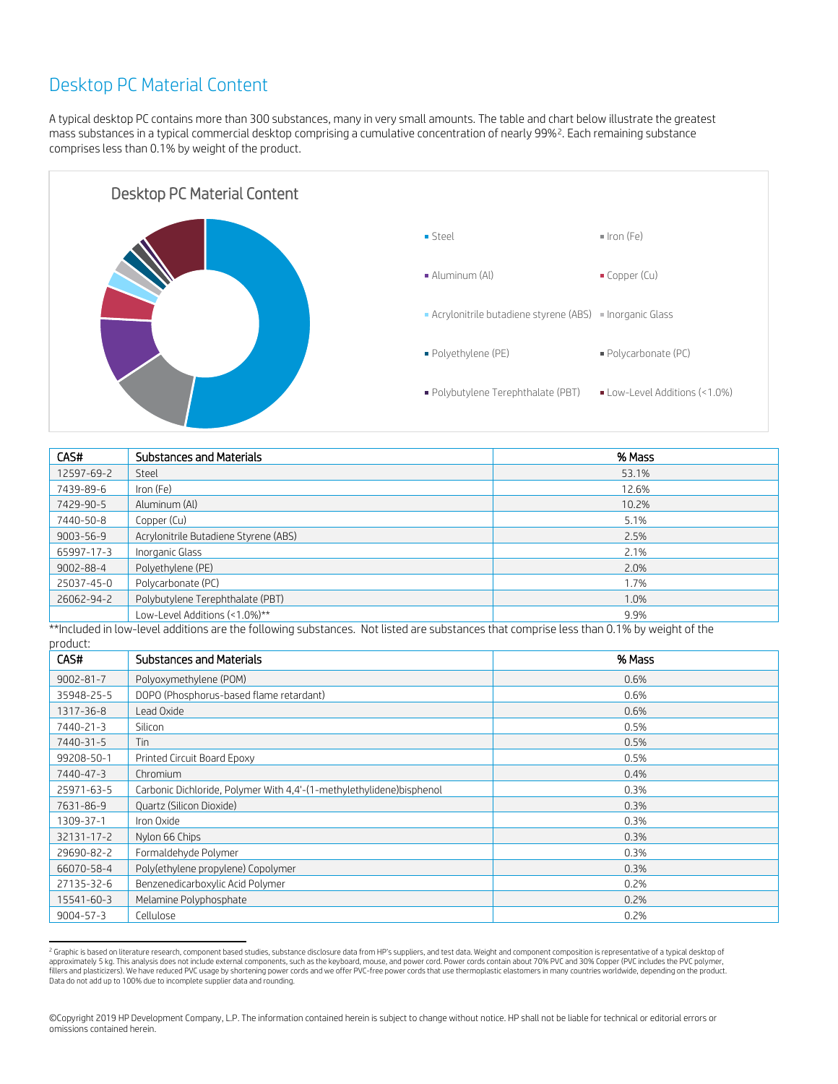## Desktop PC Material Content

A typical desktop PC contains more than 300 substances, many in very small amounts. The table and chart below illustrate the greatest mass substances in a typical commercial desktop comprising a cumulative concentration of nearly 99%[2.](#page-2-0) Each remaining substance comprises less than 0.1% by weight of the product.



| CAS#            | <b>Substances and Materials</b>       | % Mass |
|-----------------|---------------------------------------|--------|
| 12597-69-2      | Steel                                 | 53.1%  |
| 7439-89-6       | Iron (Fe)                             | 12.6%  |
| 7429-90-5       | Aluminum (Al)                         | 10.2%  |
| 7440-50-8       | Copper (Cu)                           | 5.1%   |
| $9003 - 56 - 9$ | Acrylonitrile Butadiene Styrene (ABS) | 2.5%   |
| 65997-17-3      | Inorganic Glass                       | 2.1%   |
| $9002 - 88 - 4$ | Polyethylene (PE)                     | 2.0%   |
| 25037-45-0      | Polycarbonate (PC)                    | 1.7%   |
| 26062-94-2      | Polybutylene Terephthalate (PBT)      | 1.0%   |
|                 | Low-Level Additions (<1.0%)**         | 9.9%   |

\*\*Included in low-level additions are the following substances. Not listed are substances that comprise less than 0.1% by weight of the product:

| CAS#            | <b>Substances and Materials</b>                                      | % Mass |
|-----------------|----------------------------------------------------------------------|--------|
| $9002 - 81 - 7$ | Polyoxymethylene (POM)                                               | 0.6%   |
| 35948-25-5      | DOPO (Phosphorus-based flame retardant)                              | 0.6%   |
| 1317-36-8       | Lead Oxide                                                           | 0.6%   |
| 7440-21-3       | Silicon                                                              | 0.5%   |
| 7440-31-5       | Tin                                                                  | 0.5%   |
| 99208-50-1      | Printed Circuit Board Epoxy                                          | 0.5%   |
| 7440-47-3       | Chromium                                                             | 0.4%   |
| 25971-63-5      | Carbonic Dichloride, Polymer With 4,4'-(1-methylethylidene)bisphenol | 0.3%   |
| 7631-86-9       | Quartz (Silicon Dioxide)                                             | 0.3%   |
| 1309-37-1       | Iron Oxide                                                           | 0.3%   |
| 32131-17-2      | Nylon 66 Chips                                                       | 0.3%   |
| 29690-82-2      | Formaldehyde Polymer                                                 | 0.3%   |
| 66070-58-4      | Poly(ethylene propylene) Copolymer                                   | 0.3%   |
| 27135-32-6      | Benzenedicarboxylic Acid Polymer                                     | 0.2%   |
| 15541-60-3      | Melamine Polyphosphate                                               | 0.2%   |
| $9004 - 57 - 3$ | Cellulose                                                            | 0.2%   |

<span id="page-2-0"></span><sup>&</sup>lt;sup>2</sup> Graphic is based on literature research, component based studies, substance disclosure data from HP's suppliers, and test data. Weight and component composition is representative of a typical desktop of approximately 5 kg. This analysis does not include external components, such as the keyboard, mouse, and power cord. Power cords contain about 70% PVC and 30% Copper (PVC includes the PVC polymer, fillers and plasticizers). We have reduced PVC usage by shortening power cords and we offer PVC-free power cords that use thermoplastic elastomers in many countries worldwide, depending on the product. Data do not add up to 100% due to incomplete supplier data and rounding.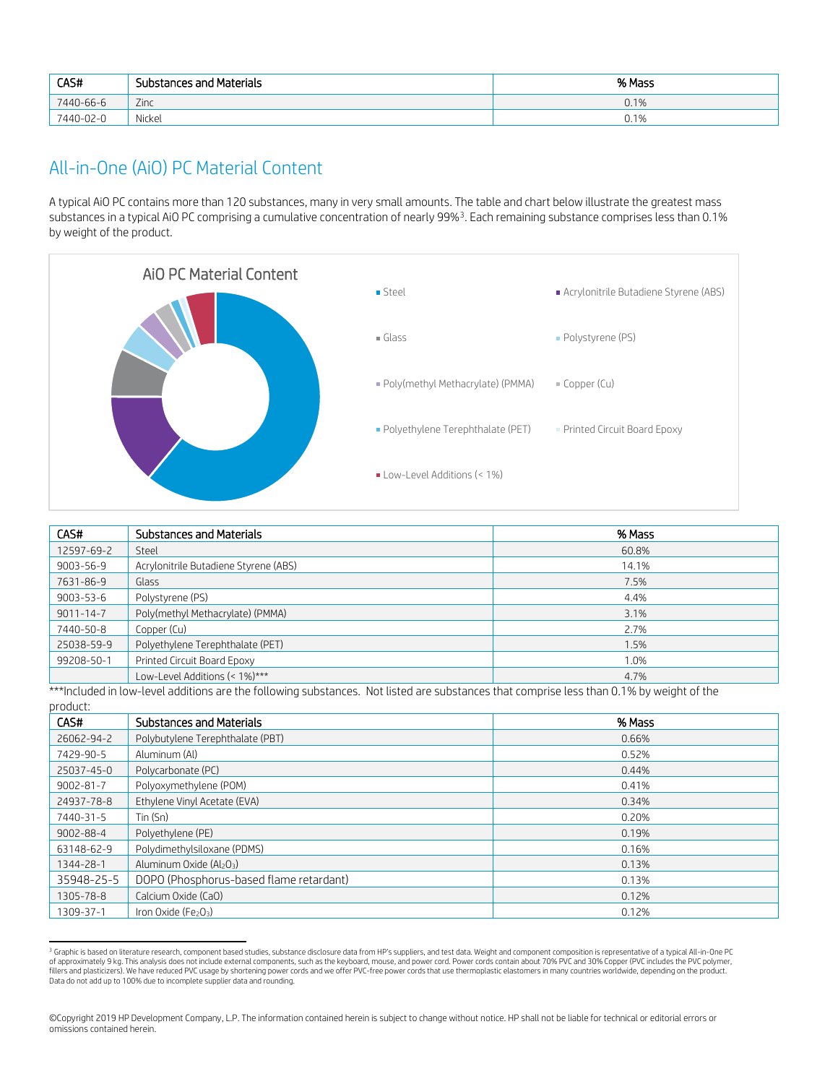| CAS#      | <b>Substances and Materials</b> | % Mass |
|-----------|---------------------------------|--------|
| 7440-66-6 | Zinc                            | 0.1%   |
| 7440-02-0 | Nickel                          | 0.1%   |

### All-in-One (AiO) PC Material Content

A typical AiO PC contains more than 120 substances, many in very small amounts. The table and chart below illustrate the greatest mass substances in a typical AiO PC comprising a cumulative concentration of nearly 99%[3.](#page-3-0) Each remaining substance comprises less than 0.1% by weight of the product.



| CAS#            | <b>Substances and Materials</b>       | % Mass |
|-----------------|---------------------------------------|--------|
| 12597-69-2      | Steel                                 | 60.8%  |
| $9003 - 56 - 9$ | Acrylonitrile Butadiene Styrene (ABS) | 14.1%  |
| 7631-86-9       | Glass                                 | 7.5%   |
| $9003 - 53 - 6$ | Polystyrene (PS)                      | 4.4%   |
| $9011 - 14 - 7$ | Poly(methyl Methacrylate) (PMMA)      | 3.1%   |
| 7440-50-8       | Copper (Cu)                           | 2.7%   |
| 25038-59-9      | Polyethylene Terephthalate (PET)      | 1.5%   |
| 99208-50-1      | Printed Circuit Board Epoxy           | 1.0%   |
|                 | Low-Level Additions (< 1%)***         | 4.7%   |

\*\*\*Included in low-level additions are the following substances. Not listed are substances that comprise less than 0.1% by weight of the product:

| CAS#            | <b>Substances and Materials</b>         | % Mass |
|-----------------|-----------------------------------------|--------|
| 26062-94-2      | Polybutylene Terephthalate (PBT)        | 0.66%  |
| 7429-90-5       | Aluminum (Al)                           | 0.52%  |
| 25037-45-0      | Polycarbonate (PC)                      | 0.44%  |
| $9002 - 81 - 7$ | Polyoxymethylene (POM)                  | 0.41%  |
| 24937-78-8      | Ethylene Vinyl Acetate (EVA)            | 0.34%  |
| 7440-31-5       | $T$ in (Sn)                             | 0.20%  |
| $9002 - 88 - 4$ | Polyethylene (PE)                       | 0.19%  |
| 63148-62-9      | Polydimethylsiloxane (PDMS)             | 0.16%  |
| 1344-28-1       | Aluminum Oxide (Al2O3)                  | 0.13%  |
| 35948-25-5      | DOPO (Phosphorus-based flame retardant) | 0.13%  |
| 1305-78-8       | Calcium Oxide (CaO)                     | 0.12%  |
| 1309-37-1       | Iron Oxide ( $Fe2O3$ )                  | 0.12%  |

<span id="page-3-0"></span><sup>&</sup>lt;sup>3</sup> Graphic is based on literature research, component based studies, substance disclosure data from HP's suppliers, and test data. Weight and component composition is representative of a typical All-in-One PC of approximately 9 kg. This analysis does not include external components, such as the keyboard, mouse, and power cord. Power cords contain about 70% PVC and 30% Copper (PVC includes the PVC polymer, fillers and plasticizers). We have reduced PVC usage by shortening power cords and we offer PVC-free power cords that use thermoplastic elastomers in many countries worldwide, depending on the product. Data do not add up to 100% due to incomplete supplier data and rounding.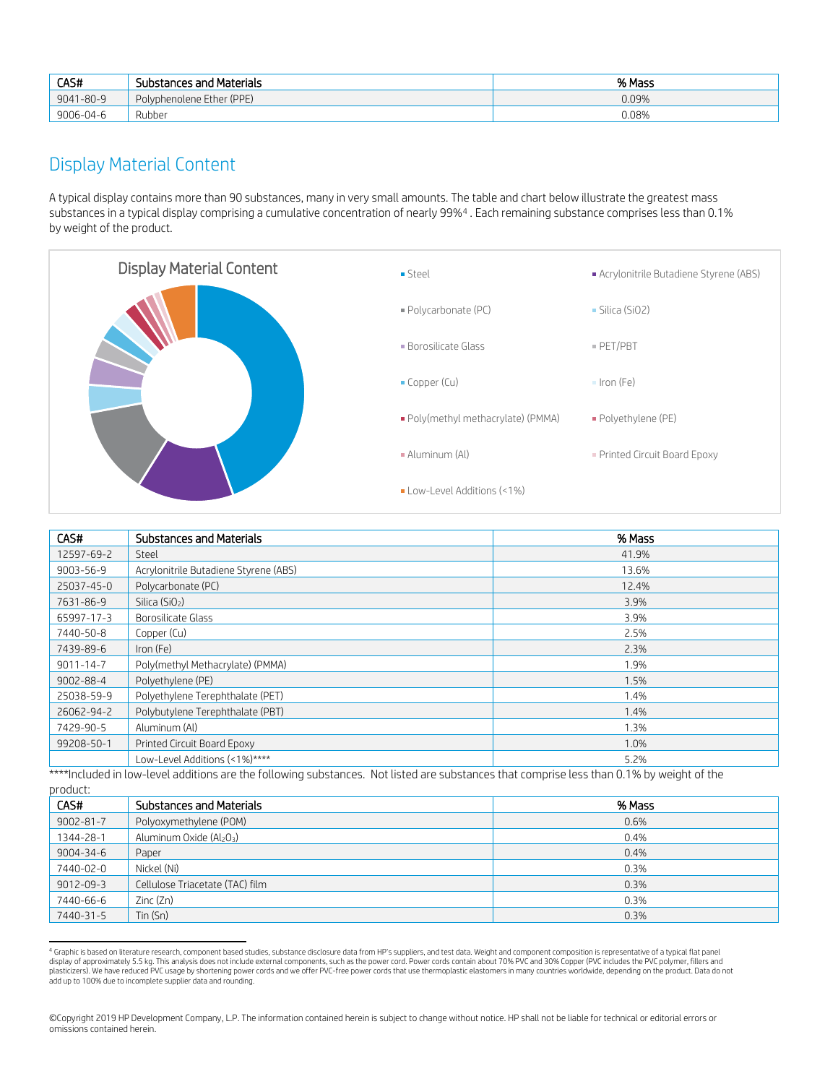| CAS#      | Substances and Materials  | % Mass |
|-----------|---------------------------|--------|
| 9041-80-9 | Polyphenolene Ether (PPE) | 0.09%  |
| 9006-04-6 | Rubber                    | 0.08%  |

#### Display Material Content

A typical display contains more than 90 substances, many in very small amounts. The table and chart below illustrate the greatest mass substances in a typical display comprising a cumulative concentration of nearly 99%[4](#page-4-0) . Each remaining substance comprises less than 0.1% by weight of the product.



| CAS#            | Substances and Materials              | % Mass |
|-----------------|---------------------------------------|--------|
| 12597-69-2      | Steel                                 | 41.9%  |
| $9003 - 56 - 9$ | Acrylonitrile Butadiene Styrene (ABS) | 13.6%  |
| 25037-45-0      | Polycarbonate (PC)                    | 12.4%  |
| 7631-86-9       | Silica (SiO <sub>2</sub> )            | 3.9%   |
| 65997-17-3      | Borosilicate Glass                    | 3.9%   |
| 7440-50-8       | Copper (Cu)                           | 2.5%   |
| 7439-89-6       | Iron (Fe)                             | 2.3%   |
| $9011 - 14 - 7$ | Poly(methyl Methacrylate) (PMMA)      | 1.9%   |
| $9002 - 88 - 4$ | Polyethylene (PE)                     | 1.5%   |
| 25038-59-9      | Polyethylene Terephthalate (PET)      | 1.4%   |
| 26062-94-2      | Polybutylene Terephthalate (PBT)      | 1.4%   |
| 7429-90-5       | Aluminum (Al)                         | 1.3%   |
| 99208-50-1      | Printed Circuit Board Epoxy           | 1.0%   |
|                 | Low-Level Additions (<1%)****         | 5.2%   |

\*\*\*\*Included in low-level additions are the following substances. Not listed are substances that comprise less than 0.1% by weight of the product:

| product.        |                                 |        |
|-----------------|---------------------------------|--------|
| CAS#            | <b>Substances and Materials</b> | % Mass |
| $9002 - 81 - 7$ | Polyoxymethylene (POM)          | 0.6%   |
| 1344-28-1       | Aluminum Oxide (Al2O3)          | 0.4%   |
| $9004 - 34 - 6$ | Paper                           | 0.4%   |
| 7440-02-0       | Nickel (Ni)                     | 0.3%   |
| 9012-09-3       | Cellulose Triacetate (TAC) film | 0.3%   |
| 7440-66-6       | Zinc(Zn)                        | 0.3%   |
| 7440-31-5       | $T$ in (Sn)                     | 0.3%   |

<span id="page-4-0"></span><sup>4</sup> Graphic is based on literature research, component based studies, substance disclosure data from HP's suppliers, and test data. Weight and component composition is representative of a typical flat panel display of approximately 5.5 kg. This analysis does not include external components, such as the power cord. Power cords contain about 70% PVC and 30% Copper (PVC includes the PVC polymer, fillers and yields and bout 70% P plasticizers). We have reduced PVC usage by shortening power cords and we offer PVC-free power cords that use thermoplastic elastomers in many countries worldwide, depending on the product. Data do not add up to 100% due to incomplete supplier data and rounding.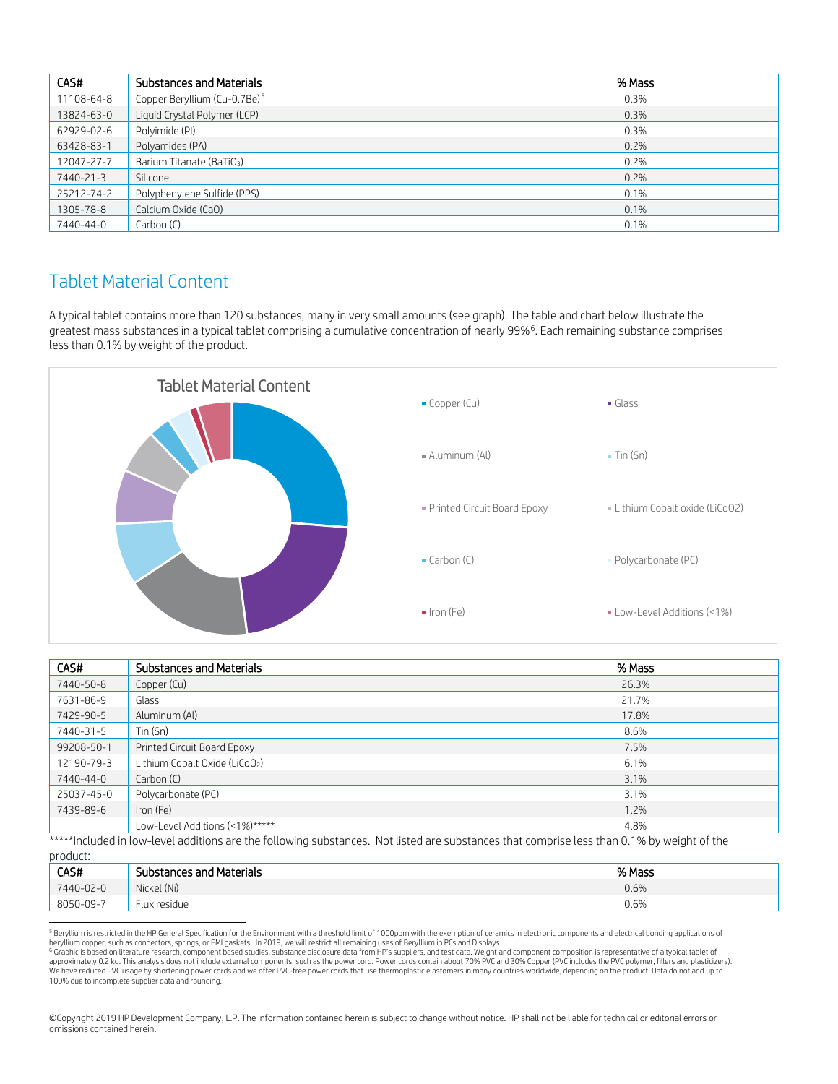| CAS#       | <b>Substances and Materials</b>          | % Mass |
|------------|------------------------------------------|--------|
| 11108-64-8 | Copper Beryllium (Cu-0.7Be) <sup>5</sup> | 0.3%   |
| 13824-63-0 | Liquid Crystal Polymer (LCP)             | 0.3%   |
| 62929-02-6 | Polyimide (PI)                           | 0.3%   |
| 63428-83-1 | Polyamides (PA)                          | 0.2%   |
| 12047-27-7 | Barium Titanate (BaTiO <sub>3</sub> )    | 0.2%   |
| 7440-21-3  | Silicone                                 | 0.2%   |
| 25212-74-2 | Polyphenylene Sulfide (PPS)              | 0.1%   |
| 1305-78-8  | Calcium Oxide (CaO)                      | 0.1%   |
| 7440-44-0  | Carbon (C)                               | 0.1%   |

#### Tablet Material Content

A typical tablet contains more than 120 substances, many in very small amounts (see graph). The table and chart below illustrate the greatest mass substances in a typical tablet comprising a cumulative concentration of nearly 99%[6](#page-5-1). Each remaining substance comprises less than 0.1% by weight of the product.



| CAS#       | Substances and Materials                                                                                                                                                                                                                                            | % Mass |
|------------|---------------------------------------------------------------------------------------------------------------------------------------------------------------------------------------------------------------------------------------------------------------------|--------|
| 7440-50-8  | Copper (Cu)                                                                                                                                                                                                                                                         | 26.3%  |
| 7631-86-9  | Glass                                                                                                                                                                                                                                                               | 21.7%  |
| 7429-90-5  | Aluminum (Al)                                                                                                                                                                                                                                                       | 17.8%  |
| 7440-31-5  | $T$ in (Sn)                                                                                                                                                                                                                                                         | 8.6%   |
| 99208-50-1 | Printed Circuit Board Epoxy                                                                                                                                                                                                                                         | 7.5%   |
| 12190-79-3 | Lithium Cobalt Oxide (LiCoO <sub>2</sub> )                                                                                                                                                                                                                          | 6.1%   |
| 7440-44-0  | Carbon (C)                                                                                                                                                                                                                                                          | 3.1%   |
| 25037-45-0 | Polycarbonate (PC)                                                                                                                                                                                                                                                  | 3.1%   |
| 7439-89-6  | Iron (Fe)                                                                                                                                                                                                                                                           | 1.2%   |
|            | Low-Level Additions (<1%)*****<br>$\alpha$ . The contract of the contract of the contract of the contract of the contract of the contract of the contract of the contract of the contract of the contract of the contract of the contract of the contract of the co | 4.8%   |

\*\*\*\*\*Included in low-level additions are the following substances. Not listed are substances that comprise less than 0.1% by weight of the product:

| .         |                                          |        |
|-----------|------------------------------------------|--------|
| CAS#      | <b>Substances and Materials</b>          | % Mass |
| 7440-02-0 | Nickel (Ni)                              | 0.6%   |
| 8050-09-7 | $\overline{\phantom{0}}$<br>Flux residue | 0.6%   |

<span id="page-5-0"></span><sup>5</sup> Beryllium is restricted in the HP General Specification for the Environment with a threshold limit of 1000ppm with the exemption of ceramics in electronic components and electrical bonding applications of

<span id="page-5-1"></span>beryllium copper, such as connectors, springs, or EMI gaskets. In 2019, we will restrict all remaining uses of Beryllium in PCs and Displays.<br><sup>6</sup> Graphic is based on literature research, component based based as the power We have reduced PVC usage by shortening power cords and we offer PVC-free power cords that use thermoplastic elastomers in many countries worldwide, depending on the product. Data do not add up to 100% due to incomplete supplier data and rounding.

<sup>©</sup>Copyright 2019 HP Development Company, L.P. The information contained herein is subject to change without notice. HP shall not be liable for technical or editorial errors or omissions contained herein.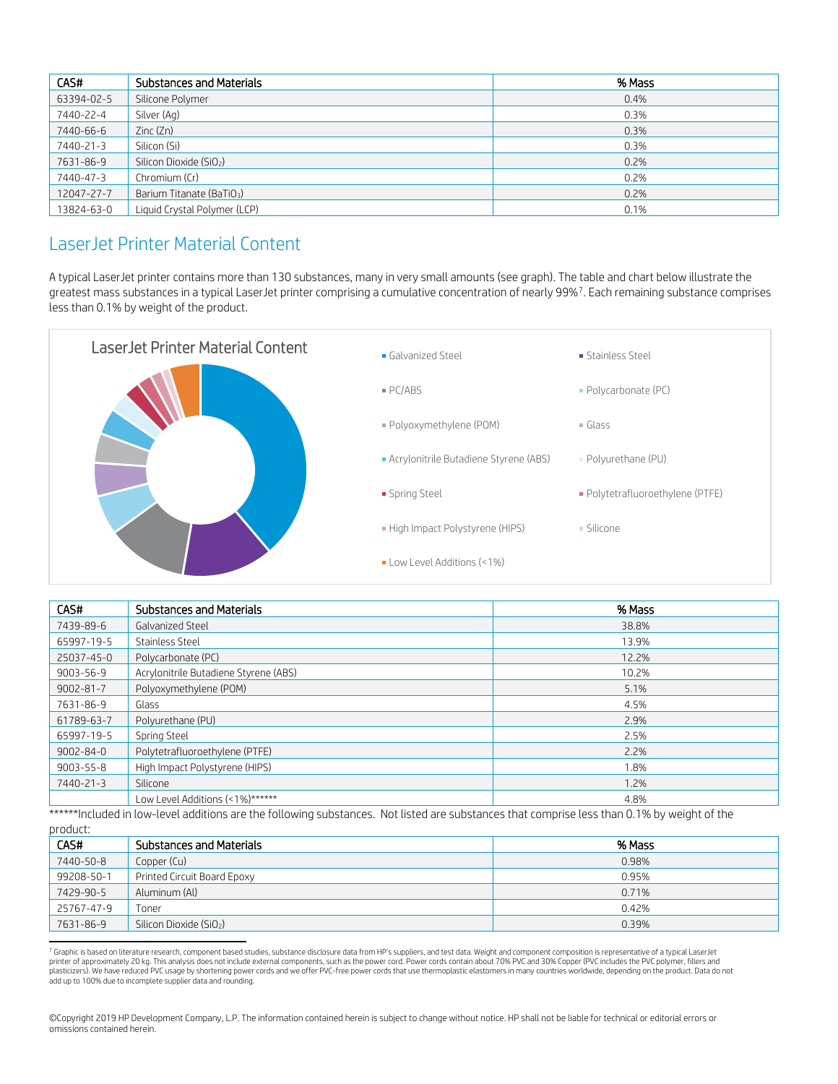| CAS#       | <b>Substances and Materials</b>       | % Mass |
|------------|---------------------------------------|--------|
| 63394-02-5 | Silicone Polymer                      | 0.4%   |
| 7440-22-4  | Silver (Ag)                           | 0.3%   |
| 7440-66-6  | Zinc (Zn)                             | 0.3%   |
| 7440-21-3  | Silicon (Si)                          | 0.3%   |
| 7631-86-9  | Silicon Dioxide (SiO <sub>2</sub> )   | 0.2%   |
| 7440-47-3  | Chromium (Cr)                         | 0.2%   |
| 12047-27-7 | Barium Titanate (BaTiO <sub>3</sub> ) | 0.2%   |
| 13824-63-0 | Liquid Crystal Polymer (LCP)          | 0.1%   |

#### LaserJet Printer Material Content

A typical LaserJet printer contains more than 130 substances, many in very small amounts (see graph). The table and chart below illustrate the greatest mass substances in a typical LaserJet printer comprising a cumulative concentration of nearly 99%[7](#page-6-0). Each remaining substance comprises less than 0.1% by weight of the product.



| CAS#            | <b>Substances and Materials</b>       | % Mass |
|-----------------|---------------------------------------|--------|
| 7439-89-6       | Galvanized Steel                      | 38.8%  |
| 65997-19-5      | Stainless Steel                       | 13.9%  |
| 25037-45-0      | Polycarbonate (PC)                    | 12.2%  |
| 9003-56-9       | Acrylonitrile Butadiene Styrene (ABS) | 10.2%  |
| $9002 - 81 - 7$ | Polyoxymethylene (POM)                | 5.1%   |
| 7631-86-9       | Glass                                 | 4.5%   |
| 61789-63-7      | Polyurethane (PU)                     | 2.9%   |
| 65997-19-5      | Spring Steel                          | 2.5%   |
| $9002 - 84 - 0$ | Polytetrafluoroethylene (PTFE)        | 2.2%   |
| $9003 - 55 - 8$ | High Impact Polystyrene (HIPS)        | 1.8%   |
| 7440-21-3       | Silicone                              | 1.2%   |
|                 | Low Level Additions (<1%)******       | 4.8%   |

\*\*\*\*\*\*Included in low-level additions are the following substances. Not listed are substances that comprise less than 0.1% by weight of the

| product. |  |
|----------|--|
|          |  |
|          |  |

| proguet.   |                                     |        |
|------------|-------------------------------------|--------|
| CAS#       | Substances and Materials            | % Mass |
| 7440-50-8  | Copper (Cu)                         | 0.98%  |
| 99208-50-1 | Printed Circuit Board Epoxy         | 0.95%  |
| 7429-90-5  | Aluminum (Al)                       | 0.71%  |
| 25767-47-9 | Toner                               | 0.42%  |
| 7631-86-9  | Silicon Dioxide (SiO <sub>2</sub> ) | 0.39%  |

<span id="page-6-0"></span><sup>7</sup> Graphic is based on literature research, component based studies, substance disclosure data from HP's suppliers, and test data. Weight and component composition is representative of a typical LaserJet printer of approximately 20 kg. This analysis does not include external components, such as the power cord. Power cords contain about 70% PVC and 30% Copper (PVC includes the PVC polymer, fillers and plasticizers). We have reduced PVC usage by shortening power cords and we offer PVC-free power cords that use thermoplastic elastomers in many countries worldwide, depending on the product. Data do not add up to 100% due to incomplete supplier data and rounding.

©Copyright 2019 HP Development Company, L.P. The information contained herein is subject to change without notice. HP shall not be liable for technical or editorial errors or omissions contained herein.